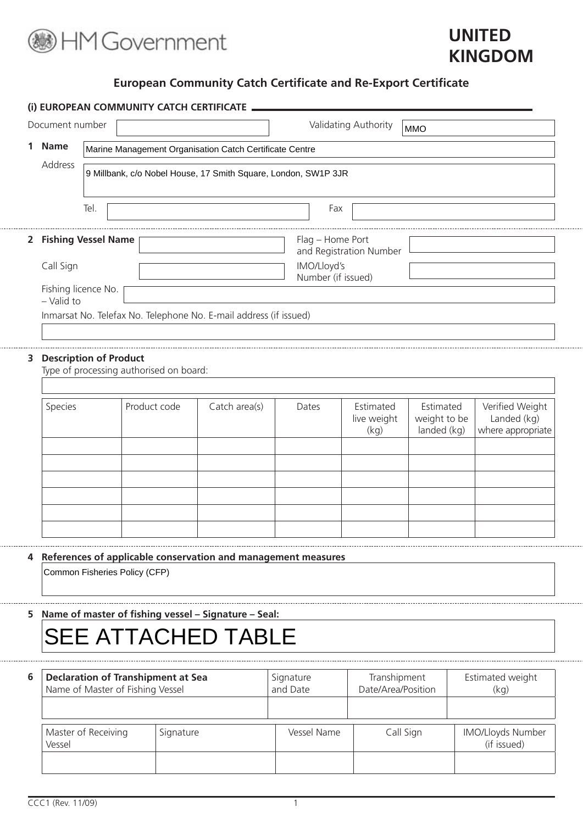

# **UNITED KINGDOM**

# **European Community Catch Certificate and Re-Export Certificate**

|   | Document number     |                               |                                                                |                                                                   |                    | Validating Authority             | <b>MMO</b>                               |                                                     |  |  |  |
|---|---------------------|-------------------------------|----------------------------------------------------------------|-------------------------------------------------------------------|--------------------|----------------------------------|------------------------------------------|-----------------------------------------------------|--|--|--|
| 1 | <b>Name</b>         |                               |                                                                | Marine Management Organisation Catch Certificate Centre           |                    |                                  |                                          |                                                     |  |  |  |
|   | Address             |                               | 9 Millbank, c/o Nobel House, 17 Smith Square, London, SW1P 3JR |                                                                   |                    |                                  |                                          |                                                     |  |  |  |
|   |                     | Tel.                          |                                                                |                                                                   | Fax                |                                  |                                          |                                                     |  |  |  |
|   |                     | 2 Fishing Vessel Name         |                                                                |                                                                   | Flag - Home Port   | and Registration Number          |                                          |                                                     |  |  |  |
|   | Call Sign           |                               |                                                                |                                                                   | IMO/Lloyd's        |                                  |                                          |                                                     |  |  |  |
|   | Fishing licence No. |                               |                                                                |                                                                   | Number (if issued) |                                  |                                          |                                                     |  |  |  |
|   | $-$ Valid to        |                               |                                                                | Inmarsat No. Telefax No. Telephone No. E-mail address (if issued) |                    |                                  |                                          |                                                     |  |  |  |
|   |                     |                               |                                                                |                                                                   |                    |                                  |                                          |                                                     |  |  |  |
| 3 |                     | <b>Description of Product</b> | Type of processing authorised on board:                        |                                                                   |                    |                                  |                                          |                                                     |  |  |  |
|   |                     |                               |                                                                |                                                                   |                    |                                  |                                          |                                                     |  |  |  |
|   | Species             |                               | Product code                                                   | Catch area(s)                                                     | Dates              | Estimated<br>live weight<br>(kq) | Estimated<br>weight to be<br>landed (kg) | Verified Weight<br>Landed (kg)<br>where appropriate |  |  |  |
|   |                     |                               |                                                                |                                                                   |                    |                                  |                                          |                                                     |  |  |  |
|   |                     |                               |                                                                |                                                                   |                    |                                  |                                          |                                                     |  |  |  |
|   |                     |                               |                                                                |                                                                   |                    |                                  |                                          |                                                     |  |  |  |
|   |                     |                               |                                                                |                                                                   |                    |                                  |                                          |                                                     |  |  |  |
|   |                     |                               |                                                                |                                                                   |                    |                                  |                                          |                                                     |  |  |  |
|   |                     |                               | Common Fisheries Policy (CFP)                                  | 4 References of applicable conservation and management measures   |                    |                                  |                                          |                                                     |  |  |  |
|   |                     |                               |                                                                |                                                                   |                    |                                  |                                          |                                                     |  |  |  |
|   |                     |                               |                                                                | Name of master of fishing vessel - Signature - Seal:              |                    |                                  |                                          |                                                     |  |  |  |
| 5 |                     |                               |                                                                | <b>SEE ATTACHED TABLE</b>                                         |                    |                                  |                                          |                                                     |  |  |  |

| The DITINGS CO. STILL OF THE PROSECT |           | $-0.119 - 0.00$ |           | $\cdots$ $\gamma$                |
|--------------------------------------|-----------|-----------------|-----------|----------------------------------|
|                                      |           |                 |           |                                  |
| Master of Receiving<br>Vessel        | Signature | Vessel Name     | Call Sign | IMO/Lloyds Number<br>(if issued) |
|                                      |           |                 |           |                                  |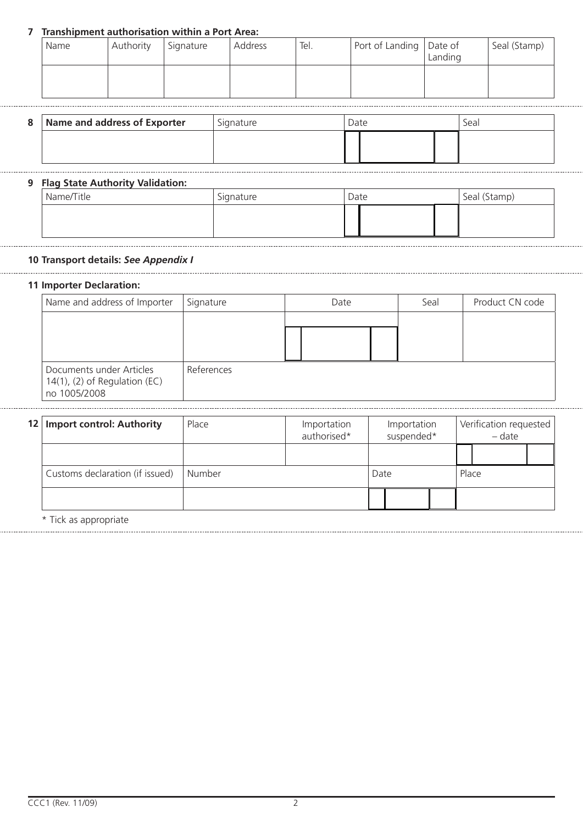## **7 Transhipment authorisation within a Port Area:**

| Name | Authority | Signature | Address | Tel. | Port of Landing Date of | Landing | Seal (Stamp) |
|------|-----------|-----------|---------|------|-------------------------|---------|--------------|
|      |           |           |         |      |                         |         |              |

| 8 | Name and address of Exporter | Signature | Jate | Seal |
|---|------------------------------|-----------|------|------|
|   |                              |           |      |      |

#### **9 Flag State Authority Validation:**

| Name/Title | Signature | Date | Seal (Stamp) |
|------------|-----------|------|--------------|
|            |           |      |              |
|            |           |      |              |

### **10 Transport details:** *See Appendix I*

## **11 Importer Declaration:**

| Name and address of Importer                                                 | Signature  | Date | Seal | Product CN code |
|------------------------------------------------------------------------------|------------|------|------|-----------------|
|                                                                              |            |      |      |                 |
|                                                                              |            |      |      |                 |
| Documents under Articles<br>$14(1)$ , (2) of Regulation (EC)<br>no 1005/2008 | References |      |      |                 |

| 12   Import control: Authority  | Place  | Importation<br>authorised* |      | Importation<br>suspended* |       | Verification requested<br>- date |  |
|---------------------------------|--------|----------------------------|------|---------------------------|-------|----------------------------------|--|
|                                 |        |                            |      |                           |       |                                  |  |
| Customs declaration (if issued) | Number |                            | Date |                           | Place |                                  |  |
|                                 |        |                            |      |                           |       |                                  |  |

Tick as appropriate